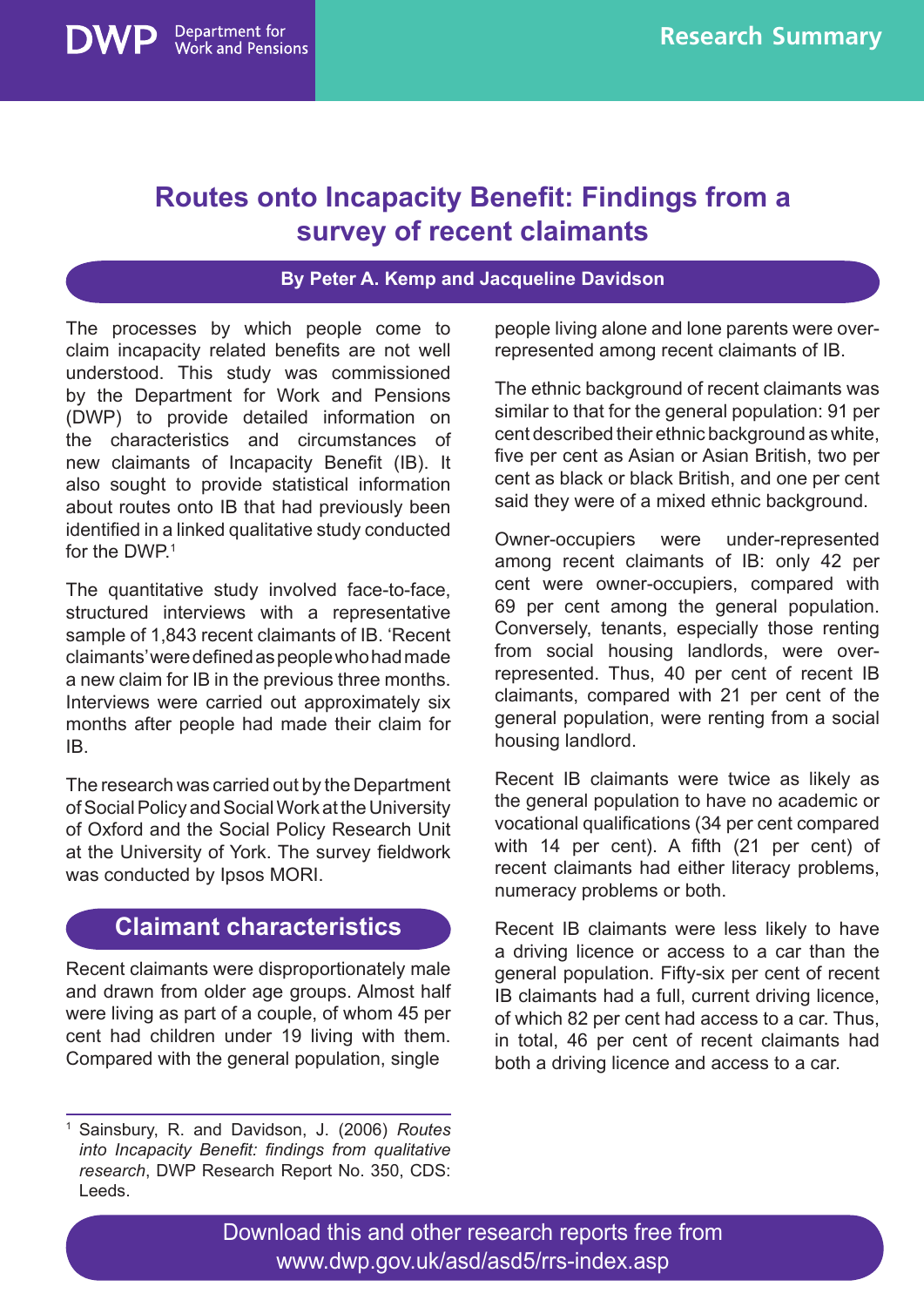# **Routes onto Incapacity Benefit: Findings from a survey of recent claimants**

#### **By Peter A. Kemp and Jacqueline Davidson**

The processes by which people come to claim incapacity related benefits are not well understood. This study was commissioned by the Department for Work and Pensions (DWP) to provide detailed information on the characteristics and circumstances of new claimants of Incapacity Benefit (IB). It also sought to provide statistical information about routes onto IB that had previously been identified in a linked qualitative study conducted for the DWP<sup>1</sup>

Department for **Work and Pensions** 

The quantitative study involved face-to-face, structured interviews with a representative sample of 1,843 recent claimants of IB. 'Recent claimants' were defined as people who had made a new claim for IB in the previous three months. Interviews were carried out approximately six months after people had made their claim for IB.

The research was carried out by the Department of Social Policy and Social Work at the University of Oxford and the Social Policy Research Unit at the University of York. The survey fieldwork was conducted by Ipsos MORI.

#### **Claimant characteristics**

Recent claimants were disproportionately male and drawn from older age groups. Almost half were living as part of a couple, of whom 45 per cent had children under 19 living with them. Compared with the general population, single

people living alone and lone parents were overrepresented among recent claimants of IB.

The ethnic background of recent claimants was similar to that for the general population: 91 per cent described their ethnic background as white, five per cent as Asian or Asian British, two per cent as black or black British, and one per cent said they were of a mixed ethnic background.

Owner-occupiers were under-represented among recent claimants of IB: only 42 per cent were owner-occupiers, compared with 69 per cent among the general population. Conversely, tenants, especially those renting from social housing landlords, were overrepresented. Thus, 40 per cent of recent IB claimants, compared with 21 per cent of the general population, were renting from a social housing landlord.

Recent IB claimants were twice as likely as the general population to have no academic or vocational qualifications (34 per cent compared with 14 per cent). A fifth (21 per cent) of recent claimants had either literacy problems, numeracy problems or both.

Recent IB claimants were less likely to have a driving licence or access to a car than the general population. Fifty-six per cent of recent IB claimants had a full, current driving licence, of which 82 per cent had access to a car. Thus, in total, 46 per cent of recent claimants had both a driving licence and access to a car.

Download this and other research reports free from www.dwp.gov.uk/asd/asd5/rrs-index.asp

<sup>1</sup> Sainsbury, R. and Davidson, J. (2006) *Routes into Incapacity Benefit: findings from qualitative research*, DWP Research Report No. 350, CDS: Leeds.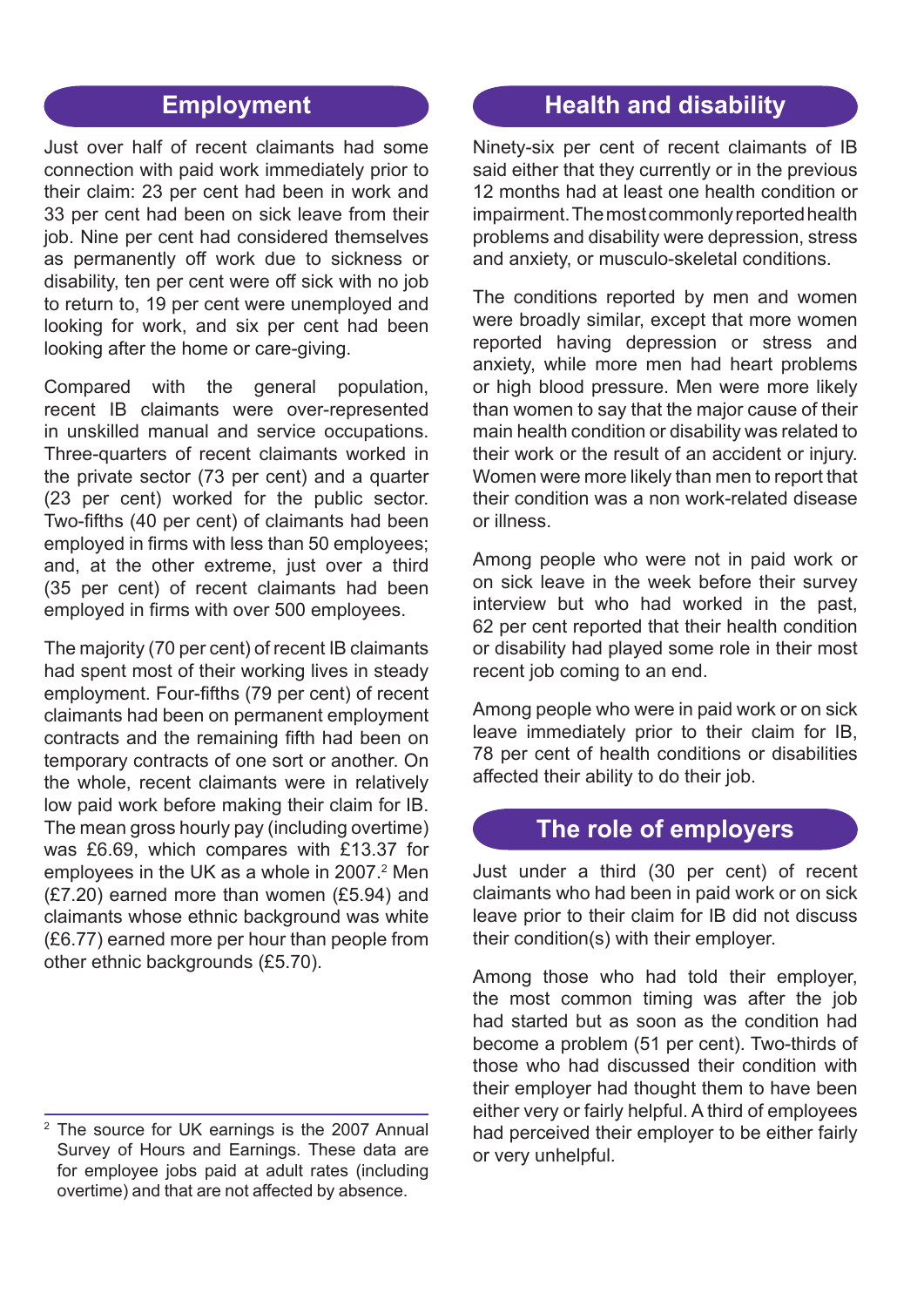### **Employment**

Just over half of recent claimants had some connection with paid work immediately prior to their claim: 23 per cent had been in work and 33 per cent had been on sick leave from their job. Nine per cent had considered themselves as permanently off work due to sickness or disability, ten per cent were off sick with no job to return to, 19 per cent were unemployed and looking for work, and six per cent had been looking after the home or care-giving.

Compared with the general population, recent IB claimants were over-represented in unskilled manual and service occupations. Three-quarters of recent claimants worked in the private sector (73 per cent) and a quarter (23 per cent) worked for the public sector. Two-fifths (40 per cent) of claimants had been employed in firms with less than 50 employees; and, at the other extreme, just over a third (35 per cent) of recent claimants had been employed in firms with over 500 employees.

The majority (70 per cent) of recent IB claimants had spent most of their working lives in steady employment. Four-fifths (79 per cent) of recent claimants had been on permanent employment contracts and the remaining fifth had been on temporary contracts of one sort or another. On the whole, recent claimants were in relatively low paid work before making their claim for IB. The mean gross hourly pay (including overtime) was £6.69, which compares with £13.37 for employees in the UK as a whole in 2007.<sup>2</sup> Men (£7.20) earned more than women (£5.94) and claimants whose ethnic background was white (£6.77) earned more per hour than people from other ethnic backgrounds (£5.70).

#### **Health and disability**

Ninety-six per cent of recent claimants of IB said either that they currently or in the previous 12 months had at least one health condition or impairment. The most commonly reported health problems and disability were depression, stress and anxiety, or musculo-skeletal conditions.

The conditions reported by men and women were broadly similar, except that more women reported having depression or stress and anxiety, while more men had heart problems or high blood pressure. Men were more likely than women to say that the major cause of their main health condition or disability was related to their work or the result of an accident or injury. Women were more likely than men to report that their condition was a non work-related disease or illness.

Among people who were not in paid work or on sick leave in the week before their survey interview but who had worked in the past, 62 per cent reported that their health condition or disability had played some role in their most recent job coming to an end.

Among people who were in paid work or on sick leave immediately prior to their claim for IB, 78 per cent of health conditions or disabilities affected their ability to do their job.

#### **The role of employers**

Just under a third (30 per cent) of recent claimants who had been in paid work or on sick leave prior to their claim for IB did not discuss their condition(s) with their employer.

Among those who had told their employer, the most common timing was after the job had started but as soon as the condition had become a problem (51 per cent). Two-thirds of those who had discussed their condition with their employer had thought them to have been either very or fairly helpful. A third of employees had perceived their employer to be either fairly or very unhelpful.

<sup>&</sup>lt;sup>2</sup> The source for UK earnings is the 2007 Annual Survey of Hours and Earnings. These data are for employee jobs paid at adult rates (including overtime) and that are not affected by absence.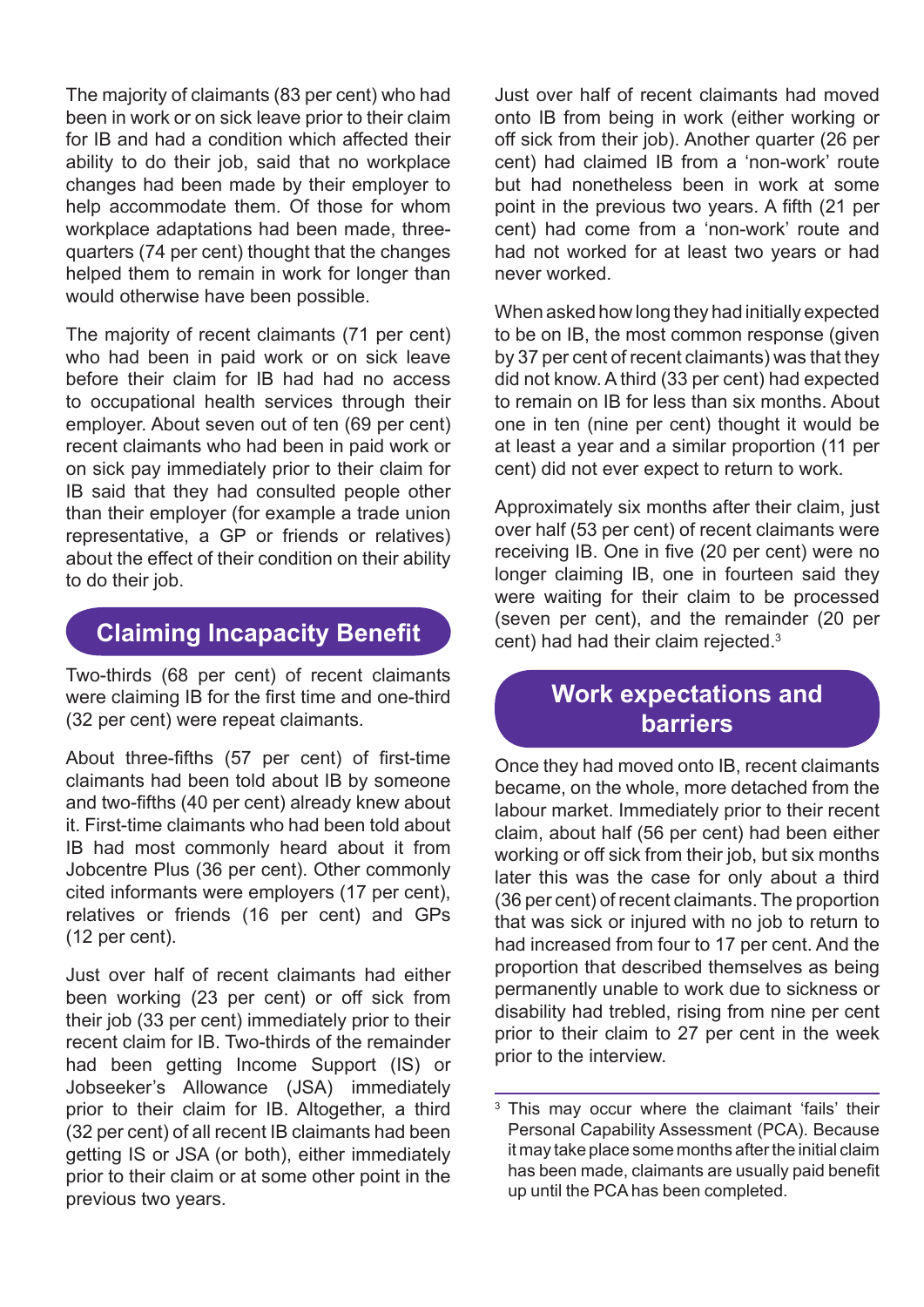The majority of claimants (83 per cent) who had been in work or on sick leave prior to their claim for IB and had a condition which affected their ability to do their job, said that no workplace changes had been made by their employer to help accommodate them. Of those for whom workplace adaptations had been made, threequarters (74 per cent) thought that the changes helped them to remain in work for longer than would otherwise have been possible.

The majority of recent claimants (71 per cent) who had been in paid work or on sick leave before their claim for IB had had no access to occupational health services through their employer. About seven out of ten (69 per cent) recent claimants who had been in paid work or on sick pay immediately prior to their claim for IB said that they had consulted people other than their employer (for example a trade union representative, a GP or friends or relatives) about the effect of their condition on their ability to do their job.

## **Claiming Incapacity Benefit**

Two-thirds (68 per cent) of recent claimants were claiming IB for the first time and one-third (32 per cent) were repeat claimants.

About three-fifths (57 per cent) of first-time claimants had been told about IB by someone and two-fifths (40 per cent) already knew about it. First-time claimants who had been told about IB had most commonly heard about it from Jobcentre Plus (36 per cent). Other commonly cited informants were employers (17 per cent), relatives or friends (16 per cent) and GPs (12 per cent).

Just over half of recent claimants had either been working (23 per cent) or off sick from their job (33 per cent) immediately prior to their recent claim for IB. Two-thirds of the remainder had been getting Income Support (IS) or Jobseeker's Allowance (JSA) immediately prior to their claim for IB. Altogether, a third (32 per cent) of all recent IB claimants had been getting IS or JSA (or both), either immediately prior to their claim or at some other point in the previous two years.

Just over half of recent claimants had moved onto IB from being in work (either working or off sick from their job). Another quarter (26 per cent) had claimed IB from a 'non-work' route but had nonetheless been in work at some point in the previous two years. A fifth (21 per cent) had come from a 'non-work' route and had not worked for at least two years or had never worked.

When asked how long they had initially expected to be on IB, the most common response (given by 37 per cent of recent claimants) was that they did not know. A third (33 per cent) had expected to remain on IB for less than six months. About one in ten (nine per cent) thought it would be at least a year and a similar proportion (11 per cent) did not ever expect to return to work.

Approximately six months after their claim, just over half (53 per cent) of recent claimants were receiving IB. One in five (20 per cent) were no longer claiming IB, one in fourteen said they were waiting for their claim to be processed (seven per cent), and the remainder (20 per cent) had had their claim rejected.<sup>3</sup>

## **Work expectations and barriers**

Once they had moved onto IB, recent claimants became, on the whole, more detached from the labour market. Immediately prior to their recent claim, about half (56 per cent) had been either working or off sick from their job, but six months later this was the case for only about a third (36 per cent) of recent claimants. The proportion that was sick or injured with no job to return to had increased from four to 17 per cent. And the proportion that described themselves as being permanently unable to work due to sickness or disability had trebled, rising from nine per cent prior to their claim to 27 per cent in the week prior to the interview.

<sup>&</sup>lt;sup>3</sup> This may occur where the claimant 'fails' their Personal Capability Assessment (PCA). Because it may take place some months after the initial claim has been made, claimants are usually paid benefit up until the PCA has been completed.